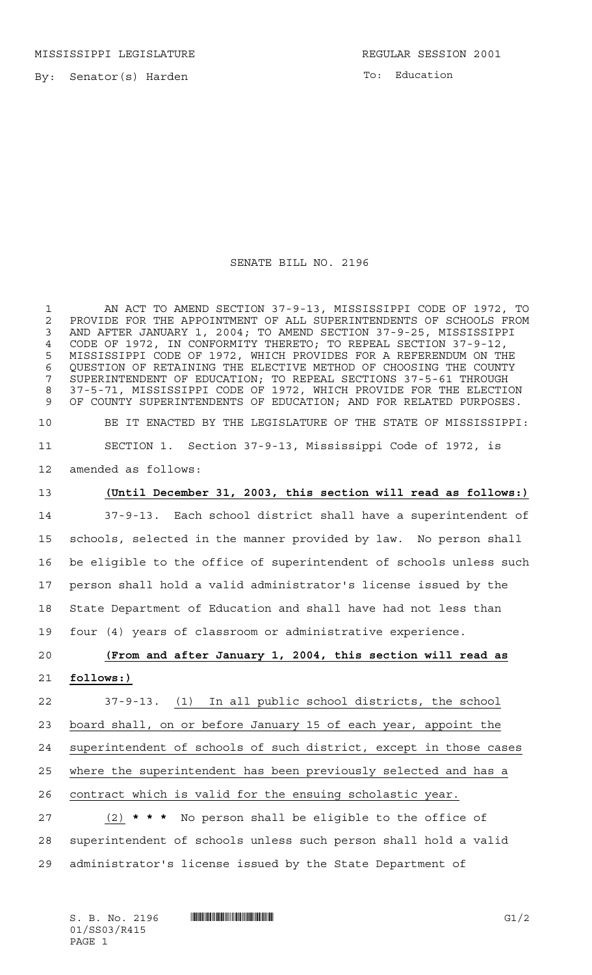MISSISSIPPI LEGISLATURE **REGULAR SESSION 2001** 

By: Senator(s) Harden

To: Education

SENATE BILL NO. 2196

 AN ACT TO AMEND SECTION 37-9-13, MISSISSIPPI CODE OF 1972, TO 2 PROVIDE FOR THE APPOINTMENT OF ALL SUPERINTENDENTS OF SCHOOLS FROM<br>3 AND AFTER JANUARY 1, 2004: TO AMEND SECTION 37-9-25, MISSISSIPPI AND AFTER JANUARY 1, 2004; TO AMEND SECTION 37-9-25, MISSISSIPPI CODE OF 1972, IN CONFORMITY THERETO; TO REPEAL SECTION 37-9-12, MISSISSIPPI CODE OF 1972, WHICH PROVIDES FOR A REFERENDUM ON THE QUESTION OF RETAINING THE ELECTIVE METHOD OF CHOOSING THE COUNTY SUPERINTENDENT OF EDUCATION; TO REPEAL SECTIONS 37-5-61 THROUGH 37-5-71, MISSISSIPPI CODE OF 1972, WHICH PROVIDE FOR THE ELECTION OF COUNTY SUPERINTENDENTS OF EDUCATION; AND FOR RELATED PURPOSES. BE IT ENACTED BY THE LEGISLATURE OF THE STATE OF MISSISSIPPI: SECTION 1. Section 37-9-13, Mississippi Code of 1972, is

amended as follows:

### **(Until December 31, 2003, this section will read as follows:)**

 37-9-13. Each school district shall have a superintendent of schools, selected in the manner provided by law. No person shall be eligible to the office of superintendent of schools unless such person shall hold a valid administrator's license issued by the State Department of Education and shall have had not less than four (4) years of classroom or administrative experience.

# **(From and after January 1, 2004, this section will read as follows:)**

 37-9-13. (1) In all public school districts, the school board shall, on or before January 15 of each year, appoint the superintendent of schools of such district, except in those cases where the superintendent has been previously selected and has a contract which is valid for the ensuing scholastic year.

 (2) **\*\*\*** No person shall be eligible to the office of superintendent of schools unless such person shall hold a valid administrator's license issued by the State Department of

 $S. B. No. 2196$   $\blacksquare$   $\blacksquare$   $\blacksquare$   $\blacksquare$   $\blacksquare$   $\blacksquare$   $\blacksquare$   $\blacksquare$   $\blacksquare$   $\blacksquare$   $\blacksquare$   $\blacksquare$   $\blacksquare$   $\blacksquare$   $\blacksquare$   $\blacksquare$   $\blacksquare$   $\blacksquare$   $\blacksquare$   $\blacksquare$   $\blacksquare$   $\blacksquare$   $\blacksquare$   $\blacksquare$   $\blacksquare$   $\blacksquare$   $\blacksquare$   $\blacksquare$   $\blacksquare$   $\blacks$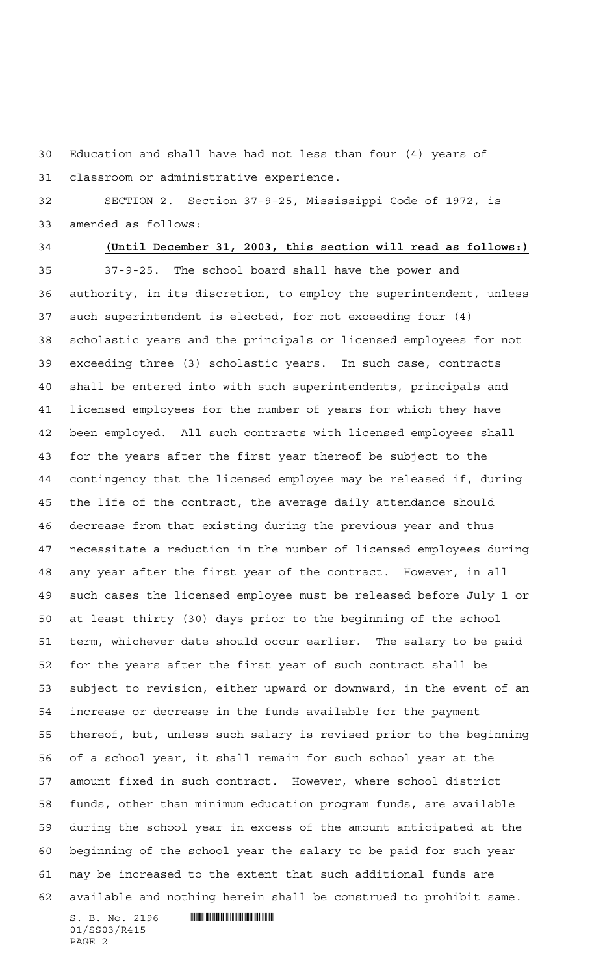Education and shall have had not less than four (4) years of classroom or administrative experience.

 SECTION 2. Section 37-9-25, Mississippi Code of 1972, is amended as follows:

## **(Until December 31, 2003, this section will read as follows:)**

 $S. B. No. 2196$  .  $\blacksquare$  37-9-25. The school board shall have the power and authority, in its discretion, to employ the superintendent, unless such superintendent is elected, for not exceeding four (4) scholastic years and the principals or licensed employees for not exceeding three (3) scholastic years. In such case, contracts shall be entered into with such superintendents, principals and licensed employees for the number of years for which they have been employed. All such contracts with licensed employees shall for the years after the first year thereof be subject to the contingency that the licensed employee may be released if, during the life of the contract, the average daily attendance should decrease from that existing during the previous year and thus necessitate a reduction in the number of licensed employees during any year after the first year of the contract. However, in all such cases the licensed employee must be released before July 1 or at least thirty (30) days prior to the beginning of the school term, whichever date should occur earlier. The salary to be paid for the years after the first year of such contract shall be subject to revision, either upward or downward, in the event of an increase or decrease in the funds available for the payment thereof, but, unless such salary is revised prior to the beginning of a school year, it shall remain for such school year at the amount fixed in such contract. However, where school district funds, other than minimum education program funds, are available during the school year in excess of the amount anticipated at the beginning of the school year the salary to be paid for such year may be increased to the extent that such additional funds are available and nothing herein shall be construed to prohibit same.

01/SS03/R415 PAGE 2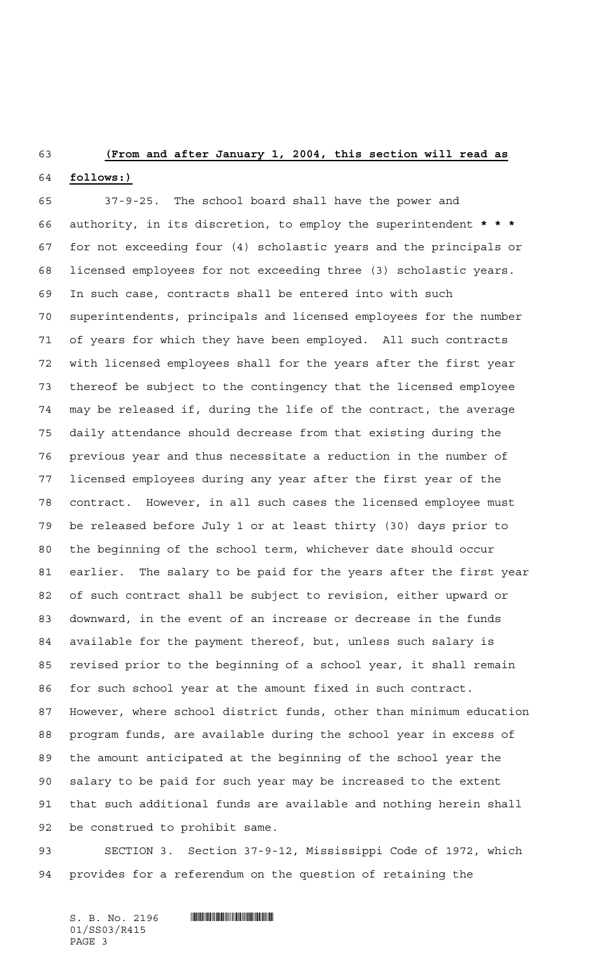#### **(From and after January 1, 2004, this section will read as**

#### **follows:)**

 37-9-25. The school board shall have the power and authority, in its discretion, to employ the superintendent **\*\*\*** for not exceeding four (4) scholastic years and the principals or licensed employees for not exceeding three (3) scholastic years. In such case, contracts shall be entered into with such superintendents, principals and licensed employees for the number of years for which they have been employed. All such contracts with licensed employees shall for the years after the first year thereof be subject to the contingency that the licensed employee may be released if, during the life of the contract, the average daily attendance should decrease from that existing during the previous year and thus necessitate a reduction in the number of licensed employees during any year after the first year of the contract. However, in all such cases the licensed employee must be released before July 1 or at least thirty (30) days prior to the beginning of the school term, whichever date should occur earlier. The salary to be paid for the years after the first year of such contract shall be subject to revision, either upward or downward, in the event of an increase or decrease in the funds available for the payment thereof, but, unless such salary is revised prior to the beginning of a school year, it shall remain for such school year at the amount fixed in such contract. However, where school district funds, other than minimum education program funds, are available during the school year in excess of the amount anticipated at the beginning of the school year the salary to be paid for such year may be increased to the extent that such additional funds are available and nothing herein shall be construed to prohibit same.

 SECTION 3. Section 37-9-12, Mississippi Code of 1972, which provides for a referendum on the question of retaining the

 $S. B. No. 2196$  .  $\blacksquare$ 01/SS03/R415 PAGE 3